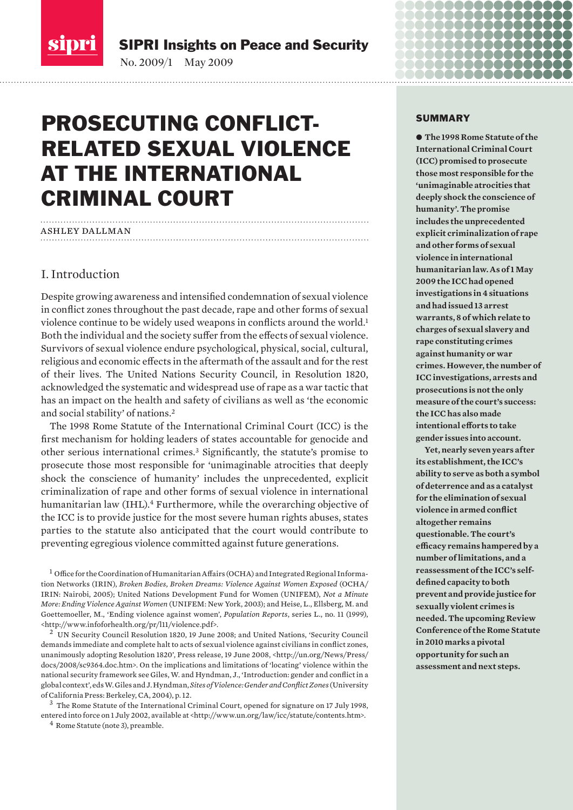

SIPRI Insights on Peace and Security

No. 2009/1 May 2009

# Prosecuting conflictrelated sexual violence at the International Criminal Court

# ashley dallman

# I. Introduction

Despite growing awareness and intensified condemnation of sexual violence in conflict zones throughout the past decade, rape and other forms of sexual violence continue to be widely used weapons in conflicts around the world.1 Both the individual and the society suffer from the effects of sexual violence. Survivors of sexual violence endure psychological, physical, social, cultural, religious and economic effects in the aftermath of the assault and for the rest of their lives. The United Nations Security Council, in Resolution 1820, acknowledged the systematic and widespread use of rape as a war tactic that has an impact on the health and safety of civilians as well as 'the economic and social stability' of nations.2

The 1998 Rome Statute of the International Criminal Court (ICC) is the first mechanism for holding leaders of states accountable for genocide and other serious international crimes.3 Significantly, the statute's promise to prosecute those most responsible for 'unimaginable atrocities that deeply shock the conscience of humanity' includes the unprecedented, explicit criminalization of rape and other forms of sexual violence in international humanitarian law (IHL).4 Furthermore, while the overarching objective of the ICC is to provide justice for the most severe human rights abuses, states parties to the statute also anticipated that the court would contribute to preventing egregious violence committed against future generations.

1 Office for the Coordination of Humanitarian Affairs (OCHA) and Integrated Regional Information Networks (IRIN), *Broken Bodies, Broken Dreams: Violence Against Women Exposed* (OCHA/ IRIN: Nairobi, 2005); United Nations Development Fund for Women (UNIFEM), *Not a Minute More: Ending Violence Against Women* (UNIFEM: New York, 2003); and Heise, L., Ellsberg, M. and Goettemoeller, M., 'Ending violence against women', *Population Reports*, series L., no. 11 (1999), <http://www.infoforhealth.org/pr/l11/violence.pdf>. 2 UN Security Council Resolution 1820, 19 June 2008; and United Nations, 'Security Council

demands immediate and complete halt to acts of sexual violence against civilians in conflict zones, unanimously adopting Resolution 1820', Press release, 19 June 2008, <http://un.org/News/Press/ docs/2008/sc9364.doc.htm>. On the implications and limitations of 'locating' violence within the national security framework see Giles, W. and Hyndman, J., 'Introduction: gender and conflict in a global context', eds W. Giles and J. Hyndman, *Sites of Violence: Gender and Conflict Zones* (University of California Press: Berkeley, CA, 2004), p. 12.

3 The Rome Statute of the International Criminal Court, opened for signature on 17 July 1998, entered into force on 1 July 2002, available at <http://www.un.org/law/icc/statute/contents.htm>. 4 Rome Statute (note 3), preamble.

#### SUMMARY

88888888

............

............. \_ \_ \_ \_ \_ \_ \_ \_ \_ \_ \_ \_

 $\bullet$  **The 1998 Rome Statute of the International Criminal Court (ICC) promised to prosecute those most responsible for the 'unimaginable atrocities that deeply shock the conscience of humanity'. The promise includes the unprecedented explicit criminalization of rape and other forms of sexual violence in international humanitarian law. As of 1 May 2009 the ICC had opened investigations in 4 situations and had issued 13 arrest warrants, 8 of which relate to charges of sexual slavery and rape constituting crimes against humanity or war crimes. However, the number of ICC investigations, arrests and prosecutions is not the only measure of the court's success: the ICC has also made intentional efforts to take gender issues into account.**

**Yet, nearly seven years after its establishment, the ICC's ability to serve as both a symbol of deterrence and as a catalyst for the elimination of sexual violence in armed conflict altogether remains questionable. The court's efficacy remains hampered by a number of limitations, and a reassessment of the ICC's selfdefined capacity to both prevent and provide justice for sexually violent crimes is needed. The upcoming Review Conference of the Rome Statute in 2010 marks a pivotal opportunity for such an assessment and next steps.**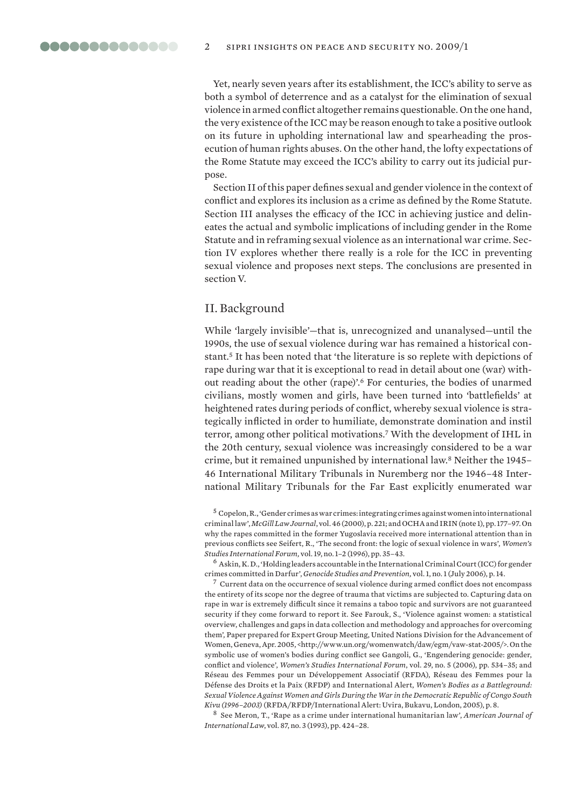Yet, nearly seven years after its establishment, the ICC's ability to serve as both a symbol of deterrence and as a catalyst for the elimination of sexual violence in armed conflict altogether remains questionable. On the one hand, the very existence of the ICC may be reason enough to take a positive outlook on its future in upholding international law and spearheading the prosecution of human rights abuses. On the other hand, the lofty expectations of the Rome Statute may exceed the ICC's ability to carry out its judicial purpose.

Section II of this paper defines sexual and gender violence in the context of conflict and explores its inclusion as a crime as defined by the Rome Statute. Section III analyses the efficacy of the ICC in achieving justice and delineates the actual and symbolic implications of including gender in the Rome Statute and in reframing sexual violence as an international war crime. Section IV explores whether there really is a role for the ICC in preventing sexual violence and proposes next steps. The conclusions are presented in section V.

## II. Background

While 'largely invisible'—that is, unrecognized and unanalysed—until the 1990s, the use of sexual violence during war has remained a historical constant.5 It has been noted that 'the literature is so replete with depictions of rape during war that it is exceptional to read in detail about one (war) without reading about the other (rape)'.6 For centuries, the bodies of unarmed civilians, mostly women and girls, have been turned into 'battlefields' at heightened rates during periods of conflict, whereby sexual violence is strategically inflicted in order to humiliate, demonstrate domination and instil terror, among other political motivations.7 With the development of IHL in the 20th century, sexual violence was increasingly considered to be a war crime, but it remained unpunished by international law.8 Neither the 1945– 46 International Military Tribunals in Nuremberg nor the 1946–48 International Military Tribunals for the Far East explicitly enumerated war

 $5$  Copelon, R., 'Gender crimes as war crimes: integrating crimes against women into international criminal law', *McGill Law Journal*, vol. 46 (2000), p. 221; and OCHA and IRIN (note 1), pp. 177–97. On why the rapes committed in the former Yugoslavia received more international attention than in previous conflicts see Seifert, R., 'The second front: the logic of sexual violence in wars', *Women's Studies International Forum,* vol. 19, no. 1–2 (1996), pp. 35–43.

 $^6$  Askin, K. D., 'Holding leaders accountable in the International Criminal Court (ICC) for gender crimes committed in Darfur', *Genocide Studies and Prevention,* vol. 1, no. 1 (July 2006), p. 14.

 $<sup>7</sup>$  Current data on the occurrence of sexual violence during armed conflict does not encompass</sup> the entirety of its scope nor the degree of trauma that victims are subjected to. Capturing data on rape in war is extremely difficult since it remains a taboo topic and survivors are not guaranteed security if they come forward to report it. See Farouk, S., 'Violence against women: a statistical overview, challenges and gaps in data collection and methodology and approaches for overcoming them'*,* Paper prepared for Expert Group Meeting, United Nations Division for the Advancement of Women, Geneva, Apr. 2005, <http://www.un.org/womenwatch/daw/egm/vaw-stat-2005/>. On the symbolic use of women's bodies during conflict see Gangoli, G., 'Engendering genocide: gender, conflict and violence', *Women's Studies International Forum*, vol. 29, no. 5 (2006), pp. 534–35; and Réseau des Femmes pour un Développement Associatif (RFDA), Réseau des Femmes pour la Défense des Droits et la Paix (RFDP) and International Alert, *Women's Bodies as a Battleground: Sexual Violence Against Women and Girls During the War in the Democratic Republic of Congo South Kivu (1996–2003)* (RFDA/RFDP/International Alert: Uvira, Bukavu, London, 2005), p. 8.

8 See Meron, T., 'Rape as a crime under international humanitarian law', *American Journal of International Law*, vol. 87, no. 3 (1993), pp. 424–28.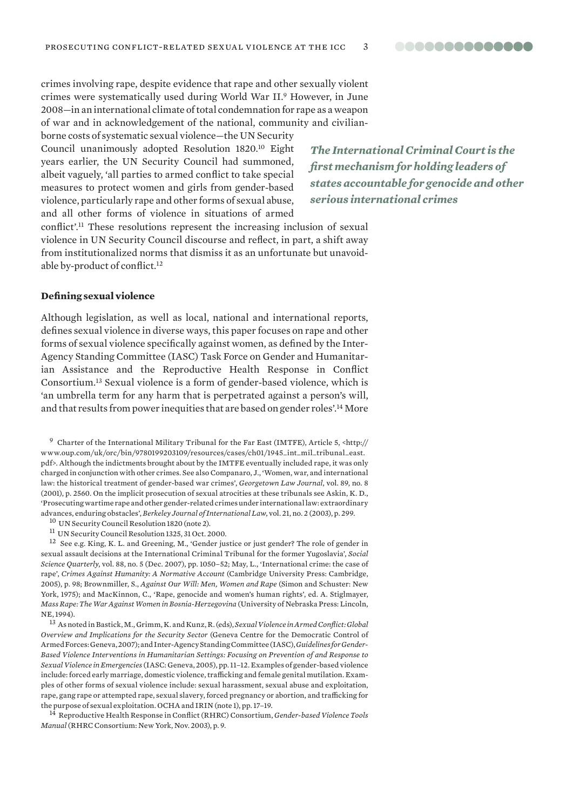crimes involving rape, despite evidence that rape and other sexually violent crimes were systematically used during World War II.9 However, in June 2008—in an international climate of total condemnation for rape as a weapon of war and in acknowledgement of the national, community and civilian-

borne costs of systematic sexual violence—the UN Security Council unanimously adopted Resolution 1820.10 Eight years earlier, the UN Security Council had summoned, albeit vaguely, 'all parties to armed conflict to take special measures to protect women and girls from gender-based violence, particularly rape and other forms of sexual abuse, and all other forms of violence in situations of armed

*The International Criminal Court is the first mechanism for holding leaders of states accountable for genocide and other serious international crimes*

conflict'.11 These resolutions represent the increasing inclusion of sexual violence in UN Security Council discourse and reflect, in part, a shift away from institutionalized norms that dismiss it as an unfortunate but unavoidable by-product of conflict.12

#### **Defining sexual violence**

Although legislation, as well as local, national and international reports, defines sexual violence in diverse ways, this paper focuses on rape and other forms of sexual violence specifically against women, as defined by the Inter-Agency Standing Committee (IASC) Task Force on Gender and Humanitarian Assistance and the Reproductive Health Response in Conflict Consortium.13 Sexual violence is a form of gender-based violence, which is 'an umbrella term for any harm that is perpetrated against a person's will, and that results from power inequities that are based on gender roles'.14 More

<sup>9</sup> Charter of the International Military Tribunal for the Far East (IMTFE), Article 5, <http:// www.oup.com/uk/orc/bin/9780199203109/resources/cases/ch01/1945\_int\_mil\_tribunal\_east. pdf>. Although the indictments brought about by the IMTFE eventually included rape, it was only charged in conjunction with other crimes. See also Companaro, J., 'Women, war, and international law: the historical treatment of gender-based war crimes', *Georgetown Law Journal*, vol. 89, no. 8 (2001), p. 2560. On the implicit prosecution of sexual atrocities at these tribunals see Askin, K. D., 'Prosecuting wartime rape and other gender-related crimes under international law: extraordinary advances, enduring obstacles', *Berkeley Journal of International Law*, vol. 21, no. 2 (2003), p. 299. 10 UN Security Council Resolution 1820 (note 2).

- 
- 11 UN Security Council Resolution 1325, 31 Oct. 2000.

12 See e.g. King, K. L. and Greening, M., 'Gender justice or just gender? The role of gender in sexual assault decisions at the International Criminal Tribunal for the former Yugoslavia', *Social Science Quarterly*, vol. 88, no. 5 (Dec. 2007), pp. 1050–52; May, L., 'International crime: the case of rape', *Crimes Against Humanity: A Normative Account* (Cambridge University Press: Cambridge, 2005), p. 98; Brownmiller, S., *Against Our Will: Men, Women and Rape* (Simon and Schuster: New York, 1975); and MacKinnon, C., 'Rape, genocide and women's human rights', ed. A. Stiglmayer, *Mass Rape: The War Against Women in Bosnia-Herzegovina* (University of Nebraska Press: Lincoln, NE, 1994).

13 As noted in Bastick, M., Grimm, K. and Kunz, R. (eds), *Sexual Violence in Armed Conflict: Global Overview and Implications for the Security Sector* (Geneva Centre for the Democratic Control of Armed Forces: Geneva, 2007); and Inter-Agency Standing Committee (IASC), *Guidelines for Gender-Based Violence Interventions in Humanitarian Settings: Focusing on Prevention of and Response to Sexual Violence in Emergencies* (IASC: Geneva, 2005), pp. 11–12. Examples of gender-based violence include: forced early marriage, domestic violence, trafficking and female genital mutilation. Examples of other forms of sexual violence include: sexual harassment, sexual abuse and exploitation, rape, gang rape or attempted rape, sexual slavery, forced pregnancy or abortion, and trafficking for the purpose of sexual exploitation. OCHA and IRIN (note 1), pp. 17–19. 14 Reproductive Health Response in Conflict (RHRC) Consortium, *Gender-based Violence Tools* 

*Manual* (RHRC Consortium: New York, Nov. 2003), p. 9.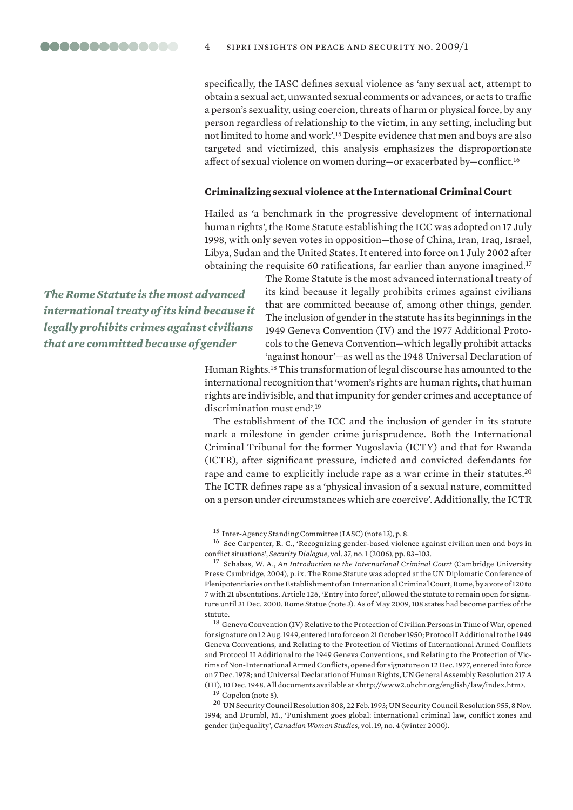# specifically, the IASC defines sexual violence as 'any sexual act, attempt to obtain a sexual act, unwanted sexual comments or advances, or acts to traffic a person's sexuality, using coercion, threats of harm or physical force, by any person regardless of relationship to the victim, in any setting, including but not limited to home and work'.15 Despite evidence that men and boys are also targeted and victimized, this analysis emphasizes the disproportionate affect of sexual violence on women during—or exacerbated by—conflict.16

#### **Criminalizing sexual violence at the International Criminal Court**

Hailed as 'a benchmark in the progressive development of international human rights', the Rome Statute establishing the ICC was adopted on 17 July 1998, with only seven votes in opposition—those of China, Iran, Iraq, Israel, Libya, Sudan and the United States. It entered into force on 1 July 2002 after obtaining the requisite 60 ratifications, far earlier than anyone imagined.17

*The Rome Statute is the most advanced international treaty of its kind because it legally prohibits crimes against civilians that are committed because of gender* 

The Rome Statute is the most advanced international treaty of its kind because it legally prohibits crimes against civilians that are committed because of, among other things, gender. The inclusion of gender in the statute has its beginnings in the 1949 Geneva Convention (IV) and the 1977 Additional Protocols to the Geneva Convention—which legally prohibit attacks 'against honour'—as well as the 1948 Universal Declaration of

Human Rights.18 This transformation of legal discourse has amounted to the international recognition that 'women's rights are human rights, that human rights are indivisible, and that impunity for gender crimes and acceptance of discrimination must end'.19

The establishment of the ICC and the inclusion of gender in its statute mark a milestone in gender crime jurisprudence. Both the International Criminal Tribunal for the former Yugoslavia (ICTY) and that for Rwanda (ICTR), after significant pressure, indicted and convicted defendants for rape and came to explicitly include rape as a war crime in their statutes.<sup>20</sup> The ICTR defines rape as a 'physical invasion of a sexual nature, committed on a person under circumstances which are coercive'. Additionally, the ICTR

15 Inter-Agency Standing Committee (IASC) (note 13), p. 8.

16 See Carpenter, R. C., 'Recognizing gender-based violence against civilian men and boys in conflict situations', *Security Dialogue*, vol. 37, no. 1 (2006), pp. 83–103.

17 Schabas, W. A., *An Introduction to the International Criminal Court* (Cambridge University Press: Cambridge, 2004), p. ix. The Rome Statute was adopted at the UN Diplomatic Conference of Plenipotentiaries on the Establishment of an International Criminal Court, Rome, by a vote of 120 to 7 with 21 absentations. Article 126, 'Entry into force', allowed the statute to remain open for signature until 31 Dec. 2000. Rome Statue (note 3). As of May 2009, 108 states had become parties of the statute.

 $^{18}$ Geneva Convention (IV) Relative to the Protection of Civilian Persons in Time of War, opened for signature on 12 Aug. 1949, entered into force on 21 October 1950; Protocol I Additional to the 1949 Geneva Conventions, and Relating to the Protection of Victims of International Armed Conflicts and Protocol II Additional to the 1949 Geneva Conventions, and Relating to the Protection of Victims of Non-International Armed Conflicts, opened for signature on 12 Dec. 1977, entered into force on 7 Dec. 1978; and Universal Declaration of Human Rights, UN General Assembly Resolution 217 A (III), 10 Dec. 1948. All documents available at <http://www2.ohchr.org/english/law/index.htm>.

19 Copelon (note 5).

20 UN Security Council Resolution 808, 22 Feb. 1993; UN Security Council Resolution 955, 8 Nov. 1994; and Drumbl, M., 'Punishment goes global: international criminal law, conflict zones and gender (in)equality', *Canadian Woman Studies,* vol. 19, no. 4 (winter 2000).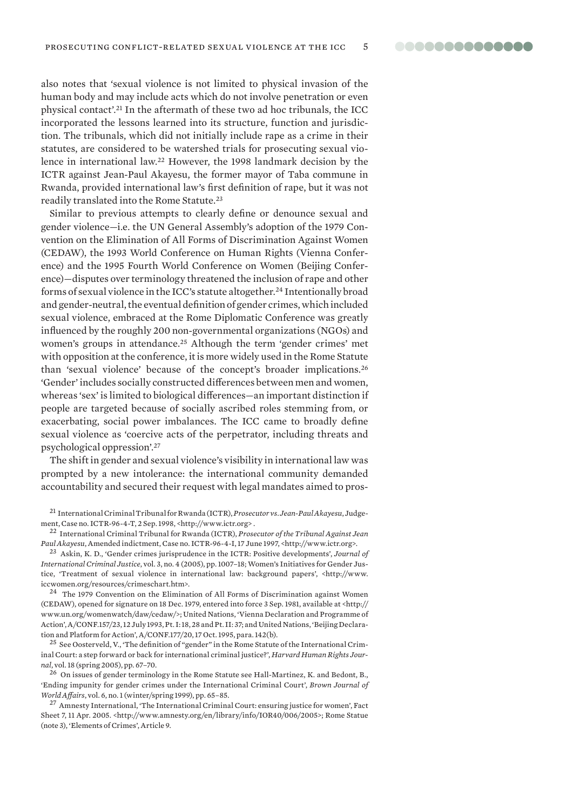also notes that 'sexual violence is not limited to physical invasion of the human body and may include acts which do not involve penetration or even physical contact'.21 In the aftermath of these two ad hoc tribunals, the ICC incorporated the lessons learned into its structure, function and jurisdiction. The tribunals, which did not initially include rape as a crime in their statutes, are considered to be watershed trials for prosecuting sexual violence in international law.22 However, the 1998 landmark decision by the ICTR against Jean-Paul Akayesu, the former mayor of Taba commune in Rwanda, provided international law's first definition of rape, but it was not readily translated into the Rome Statute.23

Similar to previous attempts to clearly define or denounce sexual and gender violence—i.e. the UN General Assembly's adoption of the 1979 Convention on the Elimination of All Forms of Discrimination Against Women (CEDAW), the 1993 World Conference on Human Rights (Vienna Conference) and the 1995 Fourth World Conference on Women (Beijing Conference)—disputes over terminology threatened the inclusion of rape and other forms of sexual violence in the ICC's statute altogether.24 Intentionally broad and gender-neutral, the eventual definition of gender crimes, which included sexual violence, embraced at the Rome Diplomatic Conference was greatly influenced by the roughly 200 non-governmental organizations (NGOs) and women's groups in attendance.<sup>25</sup> Although the term 'gender crimes' met with opposition at the conference, it is more widely used in the Rome Statute than 'sexual violence' because of the concept's broader implications.26 'Gender' includes socially constructed differences between men and women, whereas 'sex' is limited to biological differences—an important distinction if people are targeted because of socially ascribed roles stemming from, or exacerbating, social power imbalances. The ICC came to broadly define sexual violence as 'coercive acts of the perpetrator, including threats and psychological oppression'.27

The shift in gender and sexual violence's visibility in international law was prompted by a new intolerance: the international community demanded accountability and secured their request with legal mandates aimed to pros-

*Paul Akayesu*, Amended indictment, Case no. ICTR-96-4-I, 17 June 1997, <http://www.ictr.org>.

23 Askin, K. D., 'Gender crimes jurisprudence in the ICTR: Positive developments', *Journal of International Criminal Justice*, vol. 3, no. 4 (2005), pp. 1007–18; Women's Initiatives for Gender Justice, 'Treatment of sexual violence in international law: background papers', <http://www. iccwomen.org/resources/crimeschart.htm>. 24 The 1979 Convention on the Elimination of All Forms of Discrimination against Women

(CEDAW), opened for signature on 18 Dec. 1979, entered into force 3 Sep. 1981, available at <http:// www.un.org/womenwatch/daw/cedaw/>; United Nations, 'Vienna Declaration and Programme of Action', A/CONF.157/23, 12 July 1993, Pt. I: 18, 28 and Pt. II: 37; and United Nations, 'Beijing Declaration and Platform for Action', A/CONF.177/20, 17 Oct. 1995, para. 142(b).

<sup>25</sup> See Oosterveld, V., 'The definition of "gender" in the Rome Statute of the International Criminal Court: a step forward or back for international criminal justice?', *Harvard Human Rights Journal*, vol. 18 (spring 2005), pp. 67–70.

 $^{26}$  On issues of gender terminology in the Rome Statute see Hall-Martinez, K. and Bedont, B., 'Ending impunity for gender crimes under the International Criminal Court', *Brown Journal of World Affairs*, vol. 6, no. 1 (winter/spring 1999), pp. 65–85.

<sup>27</sup> Amnesty International, 'The International Criminal Court: ensuring justice for women', Fact Sheet 7, 11 Apr. 2005. <http://www.amnesty.org/en/library/info/IOR40/006/2005>; Rome Statue (note 3), 'Elements of Crimes', Article 9.

<sup>21</sup> International Criminal Tribunal for Rwanda (ICTR), *Prosecutor vs. Jean-Paul Akayesu*, Judgement, Case no. ICTR-96-4-T, 2 Sep. 1998, <http://www.ictr.org> . 22 International Criminal Tribunal for Rwanda (ICTR), *Prosecutor of the Tribunal Against Jean*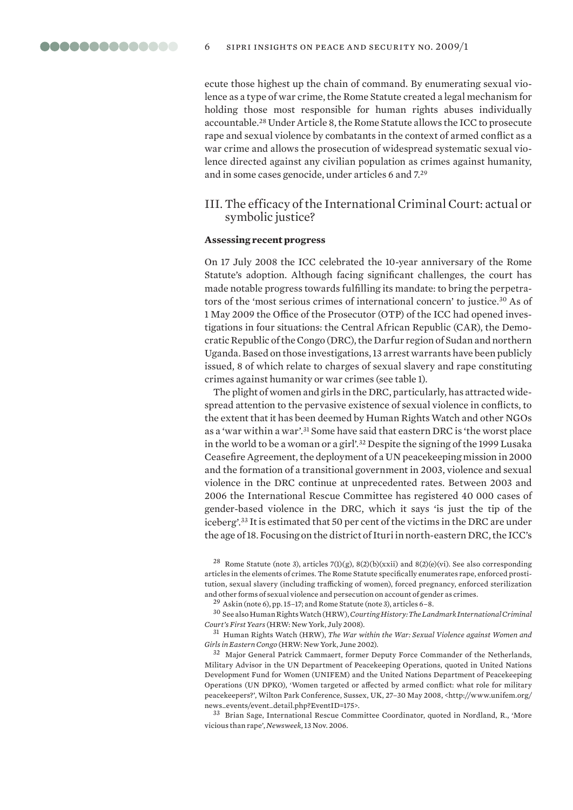ecute those highest up the chain of command. By enumerating sexual violence as a type of war crime, the Rome Statute created a legal mechanism for holding those most responsible for human rights abuses individually accountable.28 Under Article 8, the Rome Statute allows the ICC to prosecute rape and sexual violence by combatants in the context of armed conflict as a war crime and allows the prosecution of widespread systematic sexual violence directed against any civilian population as crimes against humanity, and in some cases genocide, under articles 6 and 7.29

# III. The efficacy of the International Criminal Court: actual or symbolic justice?

#### **Assessing recent progress**

On 17 July 2008 the ICC celebrated the 10-year anniversary of the Rome Statute's adoption. Although facing significant challenges, the court has made notable progress towards fulfilling its mandate: to bring the perpetrators of the 'most serious crimes of international concern' to justice.30 As of 1 May 2009 the Office of the Prosecutor (OTP) of the ICC had opened investigations in four situations: the Central African Republic (CAR), the Democratic Republic of the Congo (DRC), the Darfur region of Sudan and northern Uganda. Based on those investigations, 13 arrest warrants have been publicly issued, 8 of which relate to charges of sexual slavery and rape constituting crimes against humanity or war crimes (see table 1).

The plight of women and girls in the DRC, particularly, has attracted widespread attention to the pervasive existence of sexual violence in conflicts, to the extent that it has been deemed by Human Rights Watch and other NGOs as a 'war within a war'.31 Some have said that eastern DRC is 'the worst place in the world to be a woman or a girl'.32 Despite the signing of the 1999 Lusaka Ceasefire Agreement, the deployment of a UN peacekeeping mission in 2000 and the formation of a transitional government in 2003, violence and sexual violence in the DRC continue at unprecedented rates. Between 2003 and 2006 the International Rescue Committee has registered 40 000 cases of gender-based violence in the DRC, which it says 'is just the tip of the iceberg'.33 It is estimated that 50 per cent of the victims in the DRC are under the age of 18. Focusing on the district of Ituri in north-eastern DRC, the ICC's

<sup>&</sup>lt;sup>28</sup> Rome Statute (note 3), articles 7(1)(g), 8(2)(b)(xxii) and 8(2)(e)(vi). See also corresponding articles in the elements of crimes. The Rome Statute specifically enumerates rape, enforced prostitution, sexual slavery (including trafficking of women), forced pregnancy, enforced sterilization and other forms of sexual violence and persecution on account of gender as crimes.

<sup>29</sup> Askin (note 6), pp. 15–17; and Rome Statute (note 3), articles 6–8.

<sup>30</sup> See also Human Rights Watch (HRW), *Courting History: The Landmark International Criminal Court's First Years* (HRW: New York, July 2008).

<sup>31</sup> Human Rights Watch (HRW), *The War within the War: Sexual Violence against Women and Girls in Eastern Congo* (HRW: New York, June 2002).

<sup>&</sup>lt;sup>32</sup> Major General Patrick Cammaert, former Deputy Force Commander of the Netherlands, Military Advisor in the UN Department of Peacekeeping Operations, quoted in United Nations Development Fund for Women (UNIFEM) and the United Nations Department of Peacekeeping Operations (UN DPKO), 'Women targeted or affected by armed conflict: what role for military peacekeepers?', Wilton Park Conference, Sussex, UK, 27–30 May 2008, <http://www.unifem.org/ news\_events/event\_detail.php?EventID=175>.

<sup>33</sup> Brian Sage, International Rescue Committee Coordinator, quoted in Nordland, R., 'More vicious than rape', *Newsweek,* 13 Nov. 2006.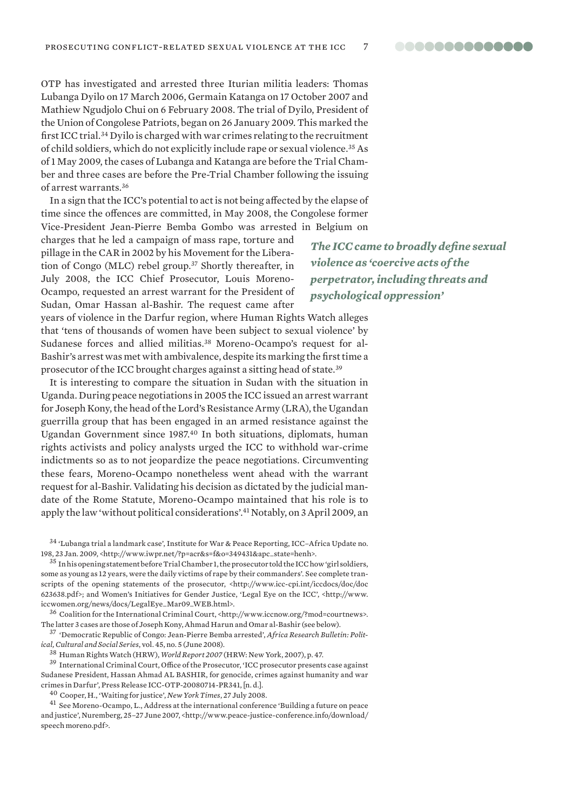OTP has investigated and arrested three Iturian militia leaders: Thomas Lubanga Dyilo on 17 March 2006, Germain Katanga on 17 October 2007 and Mathiew Ngudjolo Chui on 6 February 2008. The trial of Dyilo, President of the Union of Congolese Patriots, began on 26 January 2009. This marked the first ICC trial.34 Dyilo is charged with war crimes relating to the recruitment of child soldiers, which do not explicitly include rape or sexual violence.35 As of 1 May 2009, the cases of Lubanga and Katanga are before the Trial Chamber and three cases are before the Pre-Trial Chamber following the issuing of arrest warrants.36

In a sign that the ICC's potential to act is not being affected by the elapse of time since the offences are committed, in May 2008, the Congolese former Vice-President Jean-Pierre Bemba Gombo was arrested in Belgium on

charges that he led a campaign of mass rape, torture and pillage in the CAR in 2002 by his Movement for the Liberation of Congo (MLC) rebel group.37 Shortly thereafter, in July 2008, the ICC Chief Prosecutor, Louis Moreno-Ocampo, requested an arrest warrant for the President of Sudan, Omar Hassan al-Bashir. The request came after

years of violence in the Darfur region, where Human Rights Watch alleges that 'tens of thousands of women have been subject to sexual violence' by Sudanese forces and allied militias.<sup>38</sup> Moreno-Ocampo's request for al-Bashir's arrest was met with ambivalence, despite its marking the first time a prosecutor of the ICC brought charges against a sitting head of state.39

It is interesting to compare the situation in Sudan with the situation in Uganda. During peace negotiations in 2005 the ICC issued an arrest warrant for Joseph Kony, the head of the Lord's Resistance Army (LRA), the Ugandan guerrilla group that has been engaged in an armed resistance against the Ugandan Government since 1987.40 In both situations, diplomats, human rights activists and policy analysts urged the ICC to withhold war-crime indictments so as to not jeopardize the peace negotiations. Circumventing these fears, Moreno-Ocampo nonetheless went ahead with the warrant request for al-Bashir. Validating his decision as dictated by the judicial mandate of the Rome Statute, Moreno-Ocampo maintained that his role is to apply the law 'without political considerations'.41 Notably, on 3 April 2009, an

 $34$  'Lubanga trial a landmark case', Institute for War & Peace Reporting, ICC–Africa Update no. 198, 23 Jan. 2009, <http://www.iwpr.net/?p=acr&s=f&o=349431&apc\_state=henh>.

35 In his opening statement before Trial Chamber 1, the prosecutor told the ICC how 'girl soldiers, some as young as 12 years, were the daily victims of rape by their commanders'. See complete transcripts of the opening statements of the prosecutor, <http://www.icc-cpi.int/iccdocs/doc/doc 623638.pdf>; and Women's Initiatives for Gender Justice, 'Legal Eye on the ICC', <http://www. iccwomen.org/news/docs/LegalEye\_Mar09\_WEB.html>.

36 Coalition for the International Criminal Court, <http://www.iccnow.org/?mod=courtnews>. The latter 3 cases are those of Joseph Kony, Ahmad Harun and Omar al-Bashir (see below).

37 'Democratic Republic of Congo: Jean-Pierre Bemba arrested', *Africa Research Bulletin: Political, Cultural and Social Series*, vol. 45, no. 5 (June 2008).

38 Human Rights Watch (HRW), *World Report 2007* (HRW: New York, 2007), p. 47.

39 International Criminal Court, Office of the Prosecutor, 'ICC prosecutor presents case against Sudanese President, Hassan Ahmad AL BASHIR, for genocide, crimes against humanity and war crimes in Darfur', Press Release ICC-OTP-20080714-PR341, [n. d.].

40 Cooper, H., 'Waiting for justice', *New York Times*, 27 July 2008.

41 See Moreno-Ocampo, L., Address at the international conference 'Building a future on peace and justice', Nuremberg, 25-27 June 2007, <http://www.peace-justice-conference.info/download/ speech moreno.pdf>.

*The ICC came to broadly define sexual violence as 'coercive acts of the perpetrator, including threats and psychological oppression'*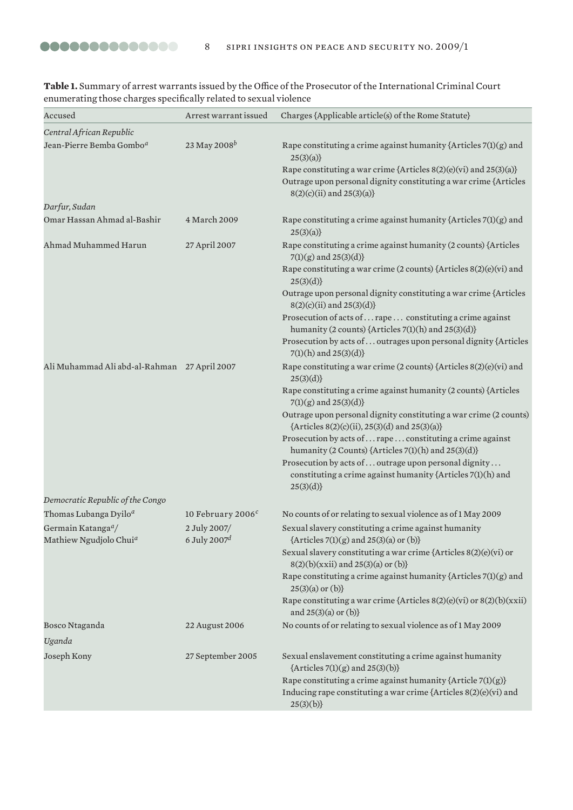| Accused                                                              | Arrest warrant issued           | Charges {Applicable article(s) of the Rome Statute}                                                                                                                |
|----------------------------------------------------------------------|---------------------------------|--------------------------------------------------------------------------------------------------------------------------------------------------------------------|
| Central African Republic                                             |                                 |                                                                                                                                                                    |
| Jean-Pierre Bemba Gombo <sup>a</sup>                                 | 23 May 2008 <sup>b</sup>        | Rape constituting a crime against humanity {Articles $7(1)(g)$ and<br>25(3)(a)                                                                                     |
|                                                                      |                                 | Rape constituting a war crime {Articles 8(2)(e)(vi) and 25(3)(a)}<br>Outrage upon personal dignity constituting a war crime {Articles<br>8(2)(c)(ii) and 25(3)(a)} |
| Darfur, Sudan                                                        |                                 |                                                                                                                                                                    |
| Omar Hassan Ahmad al-Bashir                                          | 4 March 2009                    | Rape constituting a crime against humanity {Articles $7(1)(g)$ and<br>25(3)(a)                                                                                     |
| Ahmad Muhammed Harun                                                 | 27 April 2007                   | Rape constituting a crime against humanity (2 counts) {Articles<br>$7(1)(g)$ and $25(3)(d)$ }                                                                      |
|                                                                      |                                 | Rape constituting a war crime (2 counts) {Articles 8(2)(e)(vi) and<br>25(3)(d)                                                                                     |
|                                                                      |                                 | Outrage upon personal dignity constituting a war crime {Articles<br>8(2)(c)(ii) and 25(3)(d)}                                                                      |
|                                                                      |                                 | Prosecution of acts of  rape  constituting a crime against<br>humanity (2 counts) {Articles 7(1)(h) and 25(3)(d)}                                                  |
|                                                                      |                                 | Prosecution by acts of  outrages upon personal dignity {Articles<br>$7(1)(h)$ and $25(3)(d)$ }                                                                     |
| Ali Muhammad Ali abd-al-Rahman 27 April 2007                         |                                 | Rape constituting a war crime (2 counts) {Articles 8(2)(e)(vi) and<br>25(3)(d)                                                                                     |
|                                                                      |                                 | Rape constituting a crime against humanity (2 counts) {Articles<br>$7(1)(g)$ and $25(3)(d)$ }                                                                      |
|                                                                      |                                 | Outrage upon personal dignity constituting a war crime (2 counts)<br>{Articles 8(2)(c)(ii), 25(3)(d) and 25(3)(a)}                                                 |
|                                                                      |                                 | Prosecution by acts of  rape  constituting a crime against<br>humanity (2 Counts) {Articles 7(1)(h) and 25(3)(d)}                                                  |
|                                                                      |                                 | Prosecution by acts of  outrage upon personal dignity<br>constituting a crime against humanity {Articles 7(1)(h) and<br>25(3)(d)                                   |
| Democratic Republic of the Congo                                     |                                 |                                                                                                                                                                    |
| Thomas Lubanga Dyilo <sup>a</sup>                                    | 10 February 2006 <sup>c</sup>   | No counts of or relating to sexual violence as of 1 May 2009                                                                                                       |
| Germain Katanga <sup>a</sup> /<br>Mathiew Ngudjolo Chui <sup>a</sup> | 2 July 2007/<br>6 July 2007 $d$ | Sexual slavery constituting a crime against humanity<br>${Articles 7(l)(g) and 25(3)(a) or (b)}$                                                                   |
|                                                                      |                                 | Sexual slavery constituting a war crime {Articles $8(2)(e)(vi)$ or<br>8(2)(b)(xxii) and 25(3)(a) or (b)}                                                           |
|                                                                      |                                 | Rape constituting a crime against humanity {Articles $7(1)(g)$ and<br>$25(3)(a)$ or $(b)$ }                                                                        |
|                                                                      |                                 | Rape constituting a war crime {Articles $8(2)(e)(vi)$ or $8(2)(b)(xxii)$<br>and $25(3)(a)$ or $(b)$ }                                                              |
| Bosco Ntaganda<br>Uganda                                             | 22 August 2006                  | No counts of or relating to sexual violence as of 1 May 2009                                                                                                       |
|                                                                      | 27 September 2005               |                                                                                                                                                                    |
| Joseph Kony                                                          |                                 | Sexual enslavement constituting a crime against humanity<br>${Articles 7(1)(g) and 25(3)(b)}$                                                                      |
|                                                                      |                                 | Rape constituting a crime against humanity {Article 7(1)(g)}<br>Inducing rape constituting a war crime {Articles $8(2)(e)(vi)$ and<br>25(3)(b)                     |

**Table 1.** Summary of arrest warrants issued by the Office of the Prosecutor of the International Criminal Court enumerating those charges specifically related to sexual violence

00000000000000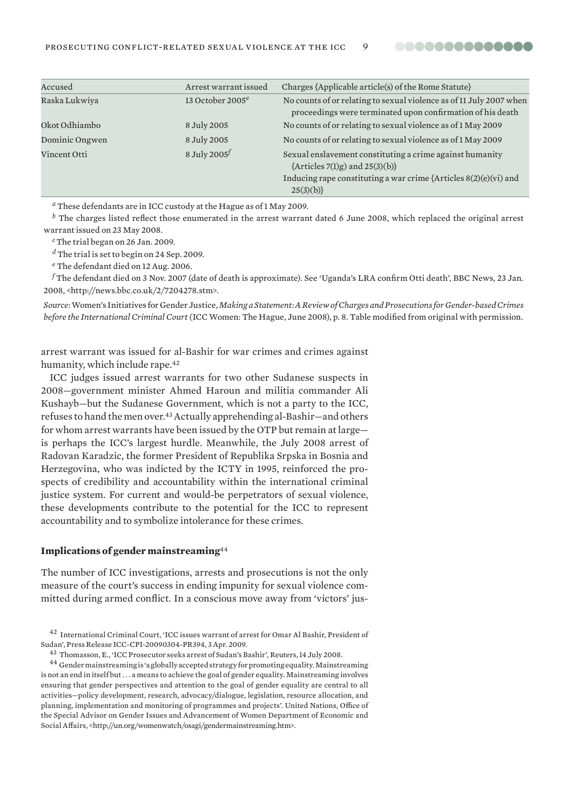

| Accused        | Arrest warrant issued | Charges {Applicable article(s) of the Rome Statute}                                                                               |
|----------------|-----------------------|-----------------------------------------------------------------------------------------------------------------------------------|
| Raska Lukwiya  | 13 October 2005 $^e$  | No counts of or relating to sexual violence as of 11 July 2007 when<br>proceedings were terminated upon confirmation of his death |
| Okot Odhiambo  | 8 July 2005           | No counts of or relating to sexual violence as of 1 May 2009                                                                      |
| Dominic Ongwen | 8 July 2005           | No counts of or relating to sexual violence as of 1 May 2009                                                                      |
| Vincent Otti   | 8 July 2005 $f$       | Sexual enslavement constituting a crime against humanity<br>$\{Articles 7(1)g) and 25(3)(b)\}$                                    |
|                |                       | Inducing rape constituting a war crime {Articles $8(2)(e)(vi)$ and<br>25(3)(b)                                                    |

*<sup>a</sup>* These defendants are in ICC custody at the Hague as of 1 May 2009.

*<sup>b</sup>* The charges listed reflect those enumerated in the arrest warrant dated 6 June 2008, which replaced the original arrest warrant issued on 23 May 2008.

*<sup>c</sup>* The trial began on 26 Jan. 2009.

*<sup>d</sup>* The trial is set to begin on 24 Sep. 2009.

*<sup>e</sup>* The defendant died on 12 Aug. 2006.

*f* The defendant died on 3 Nov. 2007 (date of death is approximate). See 'Uganda's LRA confirm Otti death', BBC News, 23 Jan. 2008, <http://news.bbc.co.uk/2/7204278.stm>.

*Source*: Women's Initiatives for Gender Justice, *Making a Statement: A Review of Charges and Prosecutions for Gender-based Crimes before the International Criminal Court* (ICC Women: The Hague, June 2008), p. 8. Table modified from original with permission.

arrest warrant was issued for al-Bashir for war crimes and crimes against humanity, which include rape.<sup>42</sup>

ICC judges issued arrest warrants for two other Sudanese suspects in 2008—government minister Ahmed Haroun and militia commander Ali Kushayb—but the Sudanese Government, which is not a party to the ICC, refuses to hand the men over.43 Actually apprehending al-Bashir—and others for whom arrest warrants have been issued by the OTP but remain at large is perhaps the ICC's largest hurdle. Meanwhile, the July 2008 arrest of Radovan Karadzic, the former President of Republika Srpska in Bosnia and Herzegovina, who was indicted by the ICTY in 1995, reinforced the prospects of credibility and accountability within the international criminal justice system. For current and would-be perpetrators of sexual violence, these developments contribute to the potential for the ICC to represent accountability and to symbolize intolerance for these crimes.

#### **Implications of gender mainstreaming**<sup>44</sup>

The number of ICC investigations, arrests and prosecutions is not the only measure of the court's success in ending impunity for sexual violence committed during armed conflict. In a conscious move away from 'victors' jus-

<sup>&</sup>lt;sup>42</sup> International Criminal Court, 'ICC issues warrant of arrest for Omar Al Bashir, President of Sudan', Press Release ICC-CPI-20090304-PR394, 3 Apr. 2009.

<sup>&</sup>lt;sup>43</sup> Thomasson, E., 'ICC Prosecutor seeks arrest of Sudan's Bashir', Reuters, 14 July 2008.<br><sup>44</sup> Gender mainstreaming is 'a globally accepted strategy for promoting equality. Mainstreaming is not an end in itself but . . . a means to achieve the goal of gender equality. Mainstreaming involves ensuring that gender perspectives and attention to the goal of gender equality are central to all activities—policy development, research, advocacy/dialogue, legislation, resource allocation, and planning, implementation and monitoring of programmes and projects'. United Nations, Office of the Special Advisor on Gender Issues and Advancement of Women Department of Economic and Social Affairs, <http://un.org/womenwatch/osagi/gendermainstreaming.htm>.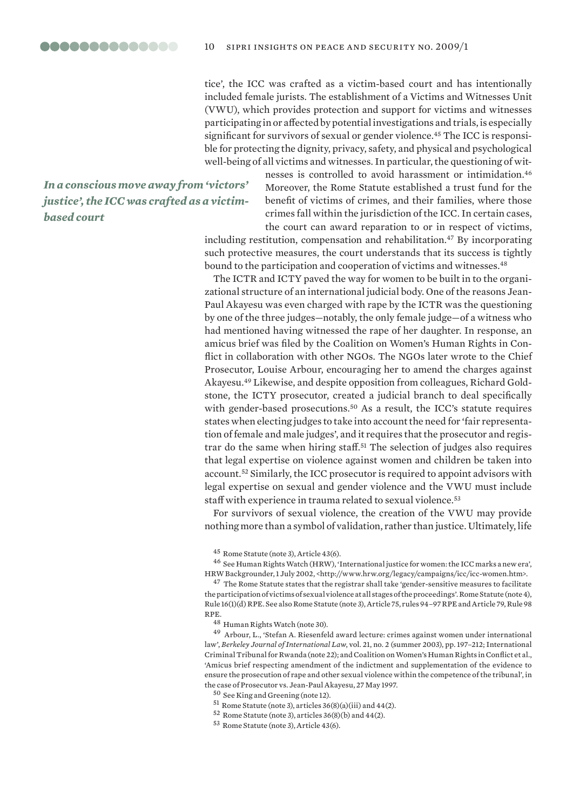tice', the ICC was crafted as a victim-based court and has intentionally included female jurists. The establishment of a Victims and Witnesses Unit (VWU), which provides protection and support for victims and witnesses participating in or affected by potential investigations and trials, is especially significant for survivors of sexual or gender violence.<sup>45</sup> The ICC is responsible for protecting the dignity, privacy, safety, and physical and psychological well-being of all victims and witnesses. In particular, the questioning of wit-

*In a conscious move away from 'victors' justice', the ICC was crafted as a victimbased court*

nesses is controlled to avoid harassment or intimidation.46 Moreover, the Rome Statute established a trust fund for the benefit of victims of crimes, and their families, where those crimes fall within the jurisdiction of the ICC. In certain cases, the court can award reparation to or in respect of victims,

including restitution, compensation and rehabilitation.<sup>47</sup> By incorporating such protective measures, the court understands that its success is tightly bound to the participation and cooperation of victims and witnesses.<sup>48</sup>

The ICTR and ICTY paved the way for women to be built in to the organizational structure of an international judicial body. One of the reasons Jean-Paul Akayesu was even charged with rape by the ICTR was the questioning by one of the three judges—notably, the only female judge—of a witness who had mentioned having witnessed the rape of her daughter. In response, an amicus brief was filed by the Coalition on Women's Human Rights in Conflict in collaboration with other NGOs. The NGOs later wrote to the Chief Prosecutor, Louise Arbour, encouraging her to amend the charges against Akayesu.49 Likewise, and despite opposition from colleagues, Richard Goldstone, the ICTY prosecutor, created a judicial branch to deal specifically with gender-based prosecutions.<sup>50</sup> As a result, the ICC's statute requires states when electing judges to take into account the need for 'fair representation of female and male judges', and it requires that the prosecutor and registrar do the same when hiring staff.51 The selection of judges also requires that legal expertise on violence against women and children be taken into account.52 Similarly, the ICC prosecutor is required to appoint advisors with legal expertise on sexual and gender violence and the VWU must include staff with experience in trauma related to sexual violence.<sup>53</sup>

For survivors of sexual violence, the creation of the VWU may provide nothing more than a symbol of validation, rather than justice. Ultimately, life

45 Rome Statute (note 3), Article 43(6).

46 See Human Rights Watch (HRW), 'International justice for women: the ICC marks a new era', HRW Backgrounder, 1 July 2002, <http://www.hrw.org/legacy/campaigns/icc/icc-women.htm>.

<sup>47</sup> The Rome Statute states that the registrar shall take 'gender-sensitive measures to facilitate the participation of victims of sexual violence at all stages of the proceedings'. Rome Statute (note 4), Rule 16(1)(d) RPE. See also Rome Statute (note 3), Article 75, rules 94–97 RPE and Article 79, Rule 98 RPE.

48 Human Rights Watch (note 30).

49 Arbour, L., 'Stefan A. Riesenfeld award lecture: crimes against women under international law', *Berkeley Journal of International Law*, vol. 21, no. 2 (summer 2003), pp. 197–212; International Criminal Tribunal for Rwanda (note 22); and Coalition on Women's Human Rights in Conflict et al., 'Amicus brief respecting amendment of the indictment and supplementation of the evidence to ensure the prosecution of rape and other sexual violence within the competence of the tribunal', in the case of Prosecutor vs. Jean-Paul Akayesu, 27 May 1997.

50 See King and Greening (note 12).

51 Rome Statute (note 3), articles 36(8)(a)(iii) and 44(2).

 $52$  Rome Statute (note 3), articles 36(8)(b) and 44(2).

53 Rome Statute (note 3), Article 43(6).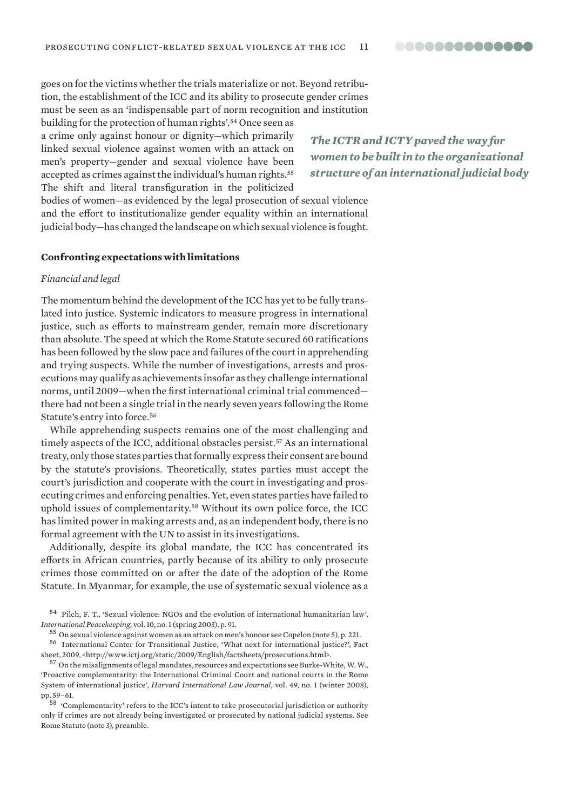goes on for the victims whether the trials materialize or not. Beyond retribution, the establishment of the ICC and its ability to prosecute gender crimes must be seen as an 'indispensable part of norm recognition and institution

building for the protection of human rights'.54 Once seen as a crime only against honour or dignity—which primarily linked sexual violence against women with an attack on men's property—gender and sexual violence have been accepted as crimes against the individual's human rights.<sup>55</sup> The shift and literal transfiguration in the politicized

*The ICTR and ICTY paved the way for women to be built in to the organizational structure of an international judicial body* 

bodies of women—as evidenced by the legal prosecution of sexual violence and the effort to institutionalize gender equality within an international judicial body—has changed the landscape on which sexual violence is fought.

#### **Confronting expectations with limitations**

#### *Financial and legal*

The momentum behind the development of the ICC has yet to be fully translated into justice. Systemic indicators to measure progress in international justice, such as efforts to mainstream gender, remain more discretionary than absolute. The speed at which the Rome Statute secured 60 ratifications has been followed by the slow pace and failures of the court in apprehending and trying suspects. While the number of investigations, arrests and prosecutions may qualify as achievements insofar as they challenge international norms, until 2009—when the first international criminal trial commenced there had not been a single trial in the nearly seven years following the Rome Statute's entry into force.56

While apprehending suspects remains one of the most challenging and timely aspects of the ICC, additional obstacles persist.<sup>57</sup> As an international treaty, only those states parties that formally express their consent are bound by the statute's provisions. Theoretically, states parties must accept the court's jurisdiction and cooperate with the court in investigating and prosecuting crimes and enforcing penalties. Yet, even states parties have failed to uphold issues of complementarity.58 Without its own police force, the ICC has limited power in making arrests and, as an independent body, there is no formal agreement with the UN to assist in its investigations.

Additionally, despite its global mandate, the ICC has concentrated its efforts in African countries, partly because of its ability to only prosecute crimes those committed on or after the date of the adoption of the Rome Statute. In Myanmar, for example, the use of systematic sexual violence as a

<sup>54</sup> Pilch, F. T., 'Sexual violence: NGOs and the evolution of international humanitarian law', *International Peacekeeping*, vol. 10, no. 1 (spring 2003), p. 91.

<sup>55</sup> On sexual violence against women as an attack on men's honour see Copelon (note 5), p. 221.

<sup>56</sup> International Center for Transitional Justice, 'What next for international justice?', Fact sheet, 2009, <http://www.ictj.org/static/2009/English/factsheets/prosecutions.html>.

<sup>57</sup> On the misalignments of legal mandates, resources and expectations see Burke-White, W. W., 'Proactive complementarity: the International Criminal Court and national courts in the Rome System of international justice', *Harvard International Law Journal*, vol. 49, no. 1 (winter 2008), pp. 59–61.

<sup>58 &#</sup>x27;Complementarity' refers to the ICC's intent to take prosecutorial jurisdiction or authority only if crimes are not already being investigated or prosecuted by national judicial systems. See Rome Statute (note 3), preamble.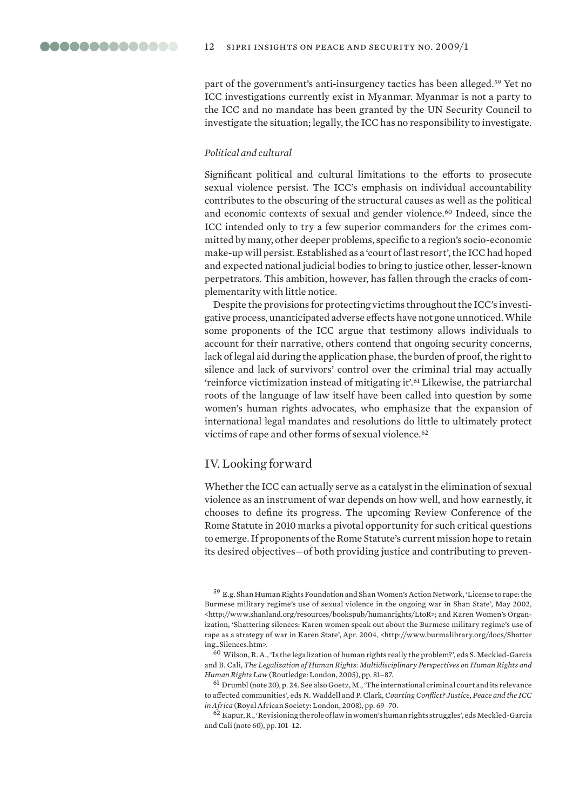part of the government's anti-insurgency tactics has been alleged.59 Yet no ICC investigations currently exist in Myanmar. Myanmar is not a party to the ICC and no mandate has been granted by the UN Security Council to investigate the situation; legally, the ICC has no responsibility to investigate.

#### *Political and cultural*

Significant political and cultural limitations to the efforts to prosecute sexual violence persist. The ICC's emphasis on individual accountability contributes to the obscuring of the structural causes as well as the political and economic contexts of sexual and gender violence.<sup>60</sup> Indeed, since the ICC intended only to try a few superior commanders for the crimes committed by many, other deeper problems, specific to a region's socio-economic make-up will persist. Established as a 'court of last resort', the ICC had hoped and expected national judicial bodies to bring to justice other, lesser-known perpetrators. This ambition, however, has fallen through the cracks of complementarity with little notice.

Despite the provisions for protecting victims throughout the ICC's investigative process, unanticipated adverse effects have not gone unnoticed. While some proponents of the ICC argue that testimony allows individuals to account for their narrative, others contend that ongoing security concerns, lack of legal aid during the application phase, the burden of proof, the right to silence and lack of survivors' control over the criminal trial may actually 'reinforce victimization instead of mitigating it'.<sup>61</sup> Likewise, the patriarchal roots of the language of law itself have been called into question by some women's human rights advocates, who emphasize that the expansion of international legal mandates and resolutions do little to ultimately protect victims of rape and other forms of sexual violence.<sup>62</sup>

# IV. Looking forward

Whether the ICC can actually serve as a catalyst in the elimination of sexual violence as an instrument of war depends on how well, and how earnestly, it chooses to define its progress. The upcoming Review Conference of the Rome Statute in 2010 marks a pivotal opportunity for such critical questions to emerge. If proponents of the Rome Statute's current mission hope to retain its desired objectives—of both providing justice and contributing to preven-

60 Wilson, R. A., 'Is the legalization of human rights really the problem?', eds S. Meckled-Garcia and B. Cali, *The Legalization of Human Rights: Multidisciplinary Perspectives on Human Rights and Human Rights Law* (Routledge: London, 2005), pp. 81–87.

 $61$  Drumbl (note 20), p. 24. See also Goetz, M., 'The international criminal court and its relevance to affected communities', eds N. Waddell and P. Clark, *Courting Conflict? Justice, Peace and the ICC in Africa* (Royal African Society: London, 2008), pp. 69–70.

62 Kapur, R., 'Revisioning the role of law in women's human rights struggles', eds Meckled-Garcia and Cali (note 60), pp. 101–12.

<sup>59</sup> E.g. Shan Human Rights Foundation and Shan Women's Action Network, 'License to rape: the Burmese military regime's use of sexual violence in the ongoing war in Shan State', May 2002, <http://www.shanland.org/resources/bookspub/humanrights/LtoR>; and Karen Women's Organization, 'Shattering silences: Karen women speak out about the Burmese military regime's use of rape as a strategy of war in Karen State', Apr. 2004, <http://www.burmalibrary.org/docs/Shatter ing\_Silences.htm>.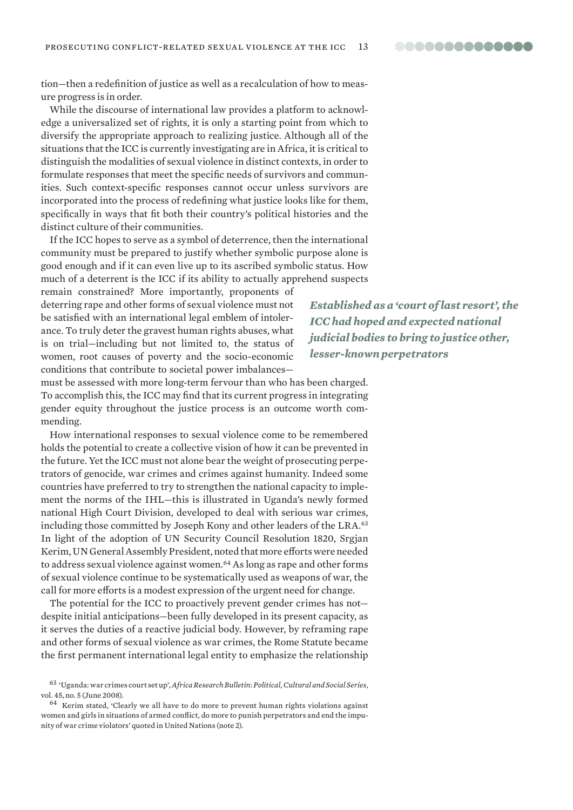tion—then a redefinition of justice as well as a recalculation of how to measure progress is in order.

While the discourse of international law provides a platform to acknowledge a universalized set of rights, it is only a starting point from which to diversify the appropriate approach to realizing justice. Although all of the situations that the ICC is currently investigating are in Africa, it is critical to distinguish the modalities of sexual violence in distinct contexts, in order to formulate responses that meet the specific needs of survivors and communities. Such context-specific responses cannot occur unless survivors are incorporated into the process of redefining what justice looks like for them, specifically in ways that fit both their country's political histories and the distinct culture of their communities.

If the ICC hopes to serve as a symbol of deterrence, then the international community must be prepared to justify whether symbolic purpose alone is good enough and if it can even live up to its ascribed symbolic status. How much of a deterrent is the ICC if its ability to actually apprehend suspects

remain constrained? More importantly, proponents of deterring rape and other forms of sexual violence must not be satisfied with an international legal emblem of intolerance. To truly deter the gravest human rights abuses, what is on trial—including but not limited to, the status of women, root causes of poverty and the socio-economic conditions that contribute to societal power imbalances—

must be assessed with more long-term fervour than who has been charged. To accomplish this, the ICC may find that its current progress in integrating gender equity throughout the justice process is an outcome worth commending.

How international responses to sexual violence come to be remembered holds the potential to create a collective vision of how it can be prevented in the future. Yet the ICC must not alone bear the weight of prosecuting perpetrators of genocide, war crimes and crimes against humanity. Indeed some countries have preferred to try to strengthen the national capacity to implement the norms of the IHL—this is illustrated in Uganda's newly formed national High Court Division, developed to deal with serious war crimes, including those committed by Joseph Kony and other leaders of the LRA.<sup>63</sup> In light of the adoption of UN Security Council Resolution 1820, Srgjan Kerim, UN General Assembly President, noted that more efforts were needed to address sexual violence against women.64 As long as rape and other forms of sexual violence continue to be systematically used as weapons of war, the call for more efforts is a modest expression of the urgent need for change.

The potential for the ICC to proactively prevent gender crimes has not despite initial anticipations—been fully developed in its present capacity, as it serves the duties of a reactive judicial body. However, by reframing rape and other forms of sexual violence as war crimes, the Rome Statute became the first permanent international legal entity to emphasize the relationship

*Established as a 'court of last resort', the ICC had hoped and expected national judicial bodies to bring to justice other, lesser-known perpetrators* 

<sup>63 &#</sup>x27;Uganda: war crimes court set up', *Africa Research Bulletin: Political, Cultural and Social Series*, vol. 45, no. 5 (June 2008).

<sup>64</sup> Kerim stated, 'Clearly we all have to do more to prevent human rights violations against women and girls in situations of armed conflict, do more to punish perpetrators and end the impunity of war crime violators' quoted in United Nations (note 2).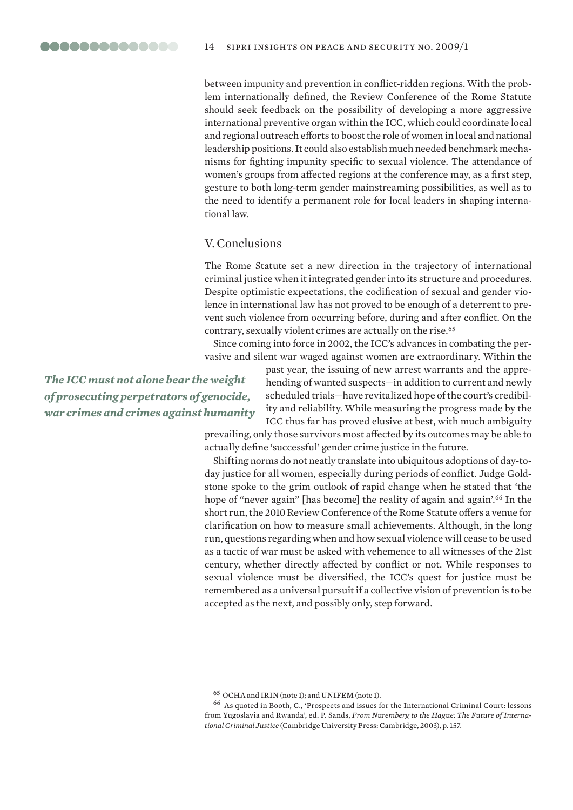between impunity and prevention in conflict-ridden regions. With the problem internationally defined, the Review Conference of the Rome Statute should seek feedback on the possibility of developing a more aggressive international preventive organ within the ICC, which could coordinate local and regional outreach efforts to boost the role of women in local and national leadership positions. It could also establish much needed benchmark mechanisms for fighting impunity specific to sexual violence. The attendance of women's groups from affected regions at the conference may, as a first step, gesture to both long-term gender mainstreaming possibilities, as well as to the need to identify a permanent role for local leaders in shaping international law.

# V. Conclusions

The Rome Statute set a new direction in the trajectory of international criminal justice when it integrated gender into its structure and procedures. Despite optimistic expectations, the codification of sexual and gender violence in international law has not proved to be enough of a deterrent to prevent such violence from occurring before, during and after conflict. On the contrary, sexually violent crimes are actually on the rise.65

Since coming into force in 2002, the ICC's advances in combating the pervasive and silent war waged against women are extraordinary. Within the

*The ICC must not alone bear the weight of prosecuting perpetrators of genocide, war crimes and crimes against humanity* past year, the issuing of new arrest warrants and the apprehending of wanted suspects—in addition to current and newly scheduled trials—have revitalized hope of the court's credibility and reliability. While measuring the progress made by the ICC thus far has proved elusive at best, with much ambiguity

prevailing, only those survivors most affected by its outcomes may be able to actually define 'successful' gender crime justice in the future.

Shifting norms do not neatly translate into ubiquitous adoptions of day-today justice for all women, especially during periods of conflict. Judge Goldstone spoke to the grim outlook of rapid change when he stated that 'the hope of "never again" [has become] the reality of again and again'.<sup>66</sup> In the short run, the 2010 Review Conference of the Rome Statute offers a venue for clarification on how to measure small achievements. Although, in the long run, questions regarding when and how sexual violence will cease to be used as a tactic of war must be asked with vehemence to all witnesses of the 21st century, whether directly affected by conflict or not. While responses to sexual violence must be diversified, the ICC's quest for justice must be remembered as a universal pursuit if a collective vision of prevention is to be accepted as the next, and possibly only, step forward.

65 OCHA and IRIN (note 1); and UNIFEM (note 1).

<sup>66</sup> As quoted in Booth, C., 'Prospects and issues for the International Criminal Court: lessons from Yugoslavia and Rwanda', ed. P. Sands, *From Nuremberg to the Hague: The Future of International Criminal Justice* (Cambridge University Press: Cambridge, 2003), p. 157.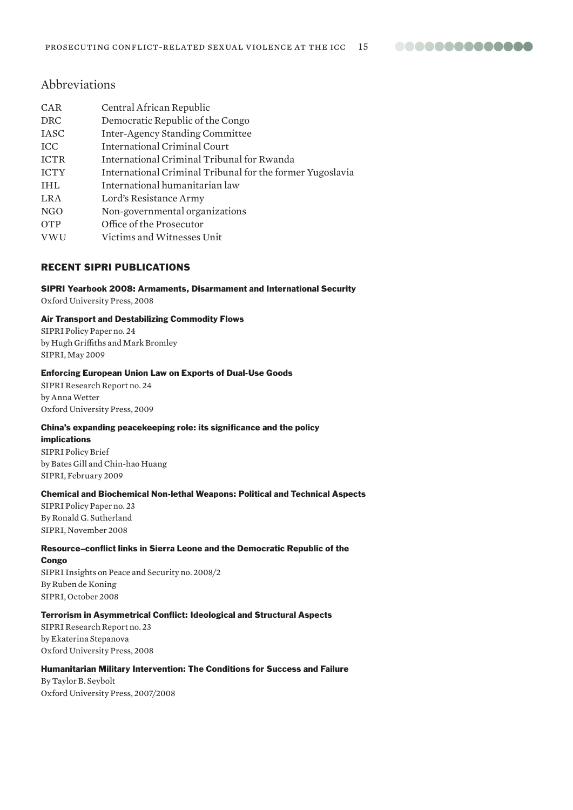**00000000000000** 

# Abbreviations

| CAR         | Central African Republic                                  |
|-------------|-----------------------------------------------------------|
| <b>DRC</b>  | Democratic Republic of the Congo                          |
| <b>IASC</b> | <b>Inter-Agency Standing Committee</b>                    |
| <b>ICC</b>  | <b>International Criminal Court</b>                       |
| <b>ICTR</b> | International Criminal Tribunal for Rwanda                |
| <b>ICTY</b> | International Criminal Tribunal for the former Yugoslavia |
| <b>IHL</b>  | International humanitarian law                            |
| <b>LRA</b>  | Lord's Resistance Army                                    |
| NGO         | Non-governmental organizations                            |
| OTP         | Office of the Prosecutor                                  |
| <b>VWU</b>  | Victims and Witnesses Unit                                |

# Recent SIPRI publications

#### SIPRI Yearbook 2008: Armaments, Disarmament and International Security

Oxford University Press, 2008

#### Air Transport and Destabilizing Commodity Flows

SIPRI Policy Paper no. 24 by Hugh Griffiths and Mark Bromley SIPRI, May 2009

#### Enforcing European Union Law on Exports of Dual-Use Goods

SIPRI Research Report no. 24 by Anna Wetter Oxford University Press, 2009

#### China's expanding peacekeeping role: its significance and the policy

implications SIPRI Policy Brief by Bates Gill and Chin-hao Huang SIPRI, February 2009

#### Chemical and Biochemical Non-lethal Weapons: Political and Technical Aspects

SIPRI Policy Paper no. 23 By Ronald G. Sutherland SIPRI, November 2008

#### Resource–conflict links in Sierra Leone and the Democratic Republic of the

#### **Congo**

SIPRI Insights on Peace and Security no. 2008/2 By Ruben de Koning SIPRI, October 2008

#### Terrorism in Asymmetrical Conflict: Ideological and Structural Aspects

SIPRI Research Report no. 23 by Ekaterina Stepanova Oxford University Press, 2008

# Humanitarian Military Intervention: The Conditions for Success and Failure

By Taylor B. Seybolt Oxford University Press, 2007/2008